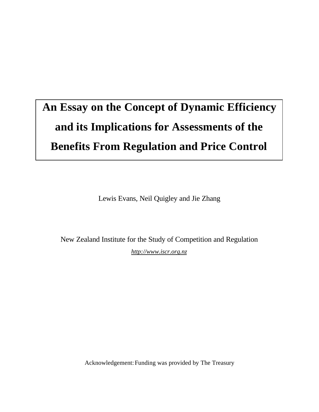# **An Essay on the Concept of Dynamic Efficiency and its Implications for Assessments of the Benefits From Regulation and Price Control**

Lewis Evans, Neil Quigley and Jie Zhang

New Zealand Institute for the Study of Competition and Regulation *http://www.iscr.org.nz*

Acknowledgement:Funding was provided by The Treasury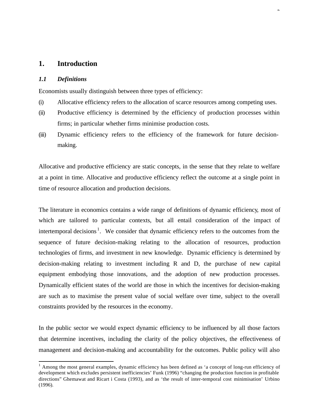# **1. Introduction**

## *1.1 Definitions*

l

Economists usually distinguish between three types of efficiency:

(i) Allocative efficiency refers to the allocation of scarce resources among competing uses.

2

- (ii) Productive efficiency is determined by the efficiency of production processes within firms; in particular whether firms minimise production costs.
- (iii) Dynamic efficiency refers to the efficiency of the framework for future decisionmaking.

Allocative and productive efficiency are static concepts, in the sense that they relate to welfare at a point in time. Allocative and productive efficiency reflect the outcome at a single point in time of resource allocation and production decisions.

The literature in economics contains a wide range of definitions of dynamic efficiency, most of which are tailored to particular contexts, but all entail consideration of the impact of intertemporal decisions<sup>1</sup>. We consider that dynamic efficiency refers to the outcomes from the sequence of future decision-making relating to the allocation of resources, production technologies of firms, and investment in new knowledge. Dynamic efficiency is determined by decision-making relating to investment including R and D, the purchase of new capital equipment embodying those innovations, and the adoption of new production processes. Dynamically efficient states of the world are those in which the incentives for decision-making are such as to maximise the present value of social welfare over time, subject to the overall constraints provided by the resources in the economy.

In the public sector we would expect dynamic efficiency to be influenced by all those factors that determine incentives, including the clarity of the policy objectives, the effectiveness of management and decision-making and accountability for the outcomes. Public policy will also

<sup>&</sup>lt;sup>1</sup> Among the most general examples, dynamic efficiency has been defined as 'a concept of long-run efficiency of development which excludes persistent inefficiencies' Funk (1996) "changing the production function in profitable directions" Ghemawat and Ricart i Costa (1993), and as 'the result of inter-temporal cost minimisation' Urbino (1996).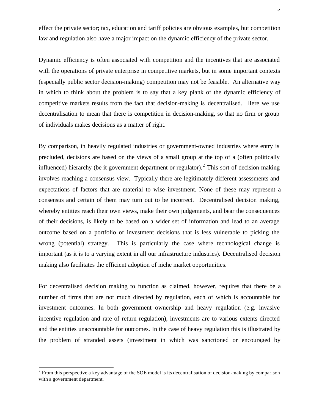effect the private sector; tax, education and tariff policies are obvious examples, but competition law and regulation also have a major impact on the dynamic efficiency of the private sector.

Dynamic efficiency is often associated with competition and the incentives that are associated with the operations of private enterprise in competitive markets, but in some important contexts (especially public sector decision-making) competition may not be feasible. An alternative way in which to think about the problem is to say that a key plank of the dynamic efficiency of competitive markets results from the fact that decision-making is decentralised. Here we use decentralisation to mean that there is competition in decision-making, so that no firm or group of individuals makes decisions as a matter of right.

By comparison, in heavily regulated industries or government-owned industries where entry is precluded, decisions are based on the views of a small group at the top of a (often politically influenced) hierarchy (be it government department or regulator).<sup>2</sup> This sort of decision making involves reaching a consensus view. Typically there are legitimately different assessments and expectations of factors that are material to wise investment. None of these may represent a consensus and certain of them may turn out to be incorrect. Decentralised decision making, whereby entities reach their own views, make their own judgements, and bear the consequences of their decisions, is likely to be based on a wider set of information and lead to an average outcome based on a portfolio of investment decisions that is less vulnerable to picking the wrong (potential) strategy. This is particularly the case where technological change is important (as it is to a varying extent in all our infrastructure industries). Decentralised decision making also facilitates the efficient adoption of niche market opportunities.

For decentralised decision making to function as claimed, however, requires that there be a number of firms that are not much directed by regulation, each of which is accountable for investment outcomes. In both government ownership and heavy regulation (e.g. invasive incentive regulation and rate of return regulation), investments are to various extents directed and the entities unaccountable for outcomes. In the case of heavy regulation this is illustrated by the problem of stranded assets (investment in which was sanctioned or encouraged by

l

 $2$  From this perspective a key advantage of the SOE model is its decentralisation of decision-making by comparison with a government department.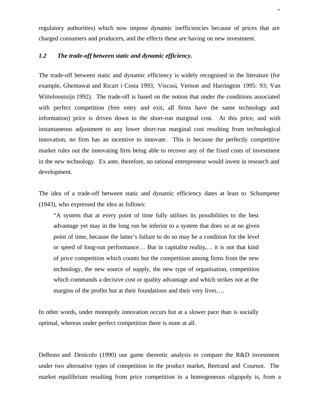regulatory authorities) which now impose dynamic inefficiencies because of prices that are charged consumers and producers, and the effects these are having on new investment.

 $\mathbf \tau$ 

# *1.2 The trade-off between static and dynamic efficiency.*

The trade-off between static and dynamic efficiency is widely recognised in the literature (for example, Ghemawat and Ricart i Costa 1993; Viscusi, Vernon and Harrington 1995: 93; Van Witteloostuijn 1992). The trade-off is based on the notion that under the conditions associated with perfect competition (free entry and exit, all firms have the same technology and information) price is driven down to the short-run marginal cost. At this price, and with instantaneous adjustment to any lower short-run marginal cost resulting from technological innovation, no firm has an incentive to innovate. This is because the perfectly competitive market rules out the innovating firm being able to recover any of the fixed costs of investment in the new technology. Ex ante, therefore, no rational entrepreneur would invest in research and development.

The idea of a trade-off between static and dynamic efficiency dates at least to Schumpeter (1943), who expressed the idea as follows:

"A system that at every point of time fully utilises its possibilities to the best advantage yet may in the long run be inferior to a system that does so at no given point of time, because the latter's failure to do so may be a condition for the level or speed of long-run performance… But in capitalist reality,… it is not that kind of price competition which counts but the competition among firms from the new technology, the new source of supply, the new type of organisation, competition which commands a decisive cost or quality advantage and which strikes not at the margins of the profits but at their foundations and their very lives….

In other words, under monopoly innovation occurs but at a slower pace than is socially optimal, whereas under perfect competition there is none at all.

Delbono and Denicolo (1990) use game theoretic analysis to compare the R&D investment under two alternative types of competition in the product market, Bertrand and Cournot. The market equilibrium resulting from price competition in a homogeneous oligopoly is, from a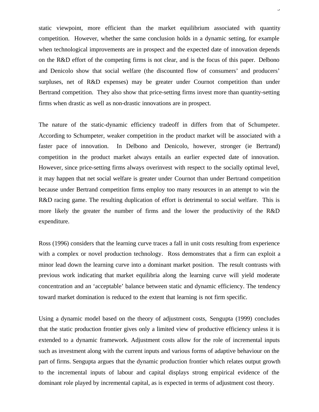static viewpoint, more efficient than the market equilibrium associated with quantity competition. However, whether the same conclusion holds in a dynamic setting, for example when technological improvements are in prospect and the expected date of innovation depends on the R&D effort of the competing firms is not clear, and is the focus of this paper. Delbono and Denicolo show that social welfare (the discounted flow of consumers' and producers' surpluses, net of R&D expenses) may be greater under Cournot competition than under Bertrand competition. They also show that price-setting firms invest more than quantity-setting firms when drastic as well as non-drastic innovations are in prospect.

 $\overline{a}$ 

The nature of the static-dynamic efficiency tradeoff in differs from that of Schumpeter. According to Schumpeter, weaker competition in the product market will be associated with a faster pace of innovation. In Delbono and Denicolo, however, stronger (ie Bertrand) competition in the product market always entails an earlier expected date of innovation. However, since price-setting firms always overinvest with respect to the socially optimal level, it may happen that net social welfare is greater under Cournot than under Bertrand competition because under Bertrand competition firms employ too many resources in an attempt to win the R&D racing game. The resulting duplication of effort is detrimental to social welfare. This is more likely the greater the number of firms and the lower the productivity of the R&D expenditure.

Ross (1996) considers that the learning curve traces a fall in unit costs resulting from experience with a complex or novel production technology. Ross demonstrates that a firm can exploit a minor lead down the learning curve into a dominant market position. The result contrasts with previous work indicating that market equilibria along the learning curve will yield moderate concentration and an 'acceptable' balance between static and dynamic efficiency. The tendency toward market domination is reduced to the extent that learning is not firm specific.

Using a dynamic model based on the theory of adjustment costs, Sengupta (1999) concludes that the static production frontier gives only a limited view of productive efficiency unless it is extended to a dynamic framework. Adjustment costs allow for the role of incremental inputs such as investment along with the current inputs and various forms of adaptive behaviour on the part of firms. Sengupta argues that the dynamic production frontier which relates output growth to the incremental inputs of labour and capital displays strong empirical evidence of the dominant role played by incremental capital, as is expected in terms of adjustment cost theory.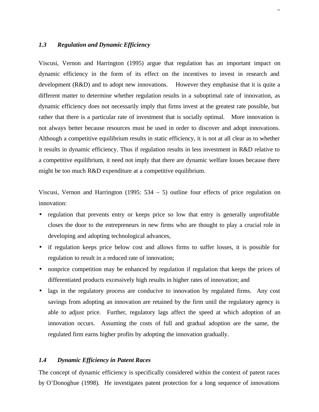# *1.3 Regulation and Dynamic Efficiency*

Viscusi, Vernon and Harrington (1995) argue that regulation has an important impact on dynamic efficiency in the form of its effect on the incentives to invest in research and development (R&D) and to adopt new innovations. However they emphasise that it is quite a different matter to determine whether regulation results in a suboptimal rate of innovation, as dynamic efficiency does not necessarily imply that firms invest at the greatest rate possible, but rather that there is a particular rate of investment that is socially optimal. More innovation is not always better because resources must be used in order to discover and adopt innovations. Although a competitive equilibrium results in static efficiency, it is not at all clear as to whether it results in dynamic efficiency. Thus if regulation results in less investment in R&D relative to a competitive equilibrium, it need not imply that there are dynamic welfare losses because there might be too much R&D expenditure at a competitive equilibrium.

 $\ddot{\phantom{0}}$ 

Viscusi, Vernon and Harrington (1995: 534 – 5) outline four effects of price regulation on innovation:

- regulation that prevents entry or keeps price so low that entry is generally unprofitable closes the door to the entrepreneurs in new firms who are thought to play a crucial role in developing and adopting technological advances,
- if regulation keeps price below cost and allows firms to suffer losses, it is possible for regulation to result in a reduced rate of innovation;
- nonprice competition may be enhanced by regulation if regulation that keeps the prices of differentiated products excessively high results in higher rates of innovation; and
- lags in the regulatory process are conducive to innovation by regulated firms. Any cost savings from adopting an innovation are retained by the firm until the regulatory agency is able to adjust price. Further, regulatory lags affect the speed at which adoption of an innovation occurs. Assuming the costs of full and gradual adoption are the same, the regulated firm earns higher profits by adopting the innovation gradually.

## *1.4 Dynamic Efficiency in Patent Races*

The concept of dynamic efficiency is specifically considered within the context of patent races by O'Donoghue (1998). He investigates patent protection for a long sequence of innovations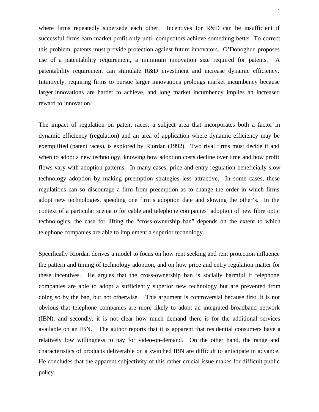where firms repeatedly supersede each other. Incentives for R&D can be insufficient if successful firms earn market profit only until competitors achieve something better. To correct this problem, patents must provide protection against future innovators. O'Donoghue proposes use of a patentability requirement, a minimum innovation size required for patents. A patentability requirement can stimulate R&D investment and increase dynamic efficiency. Intuitively, requiring firms to pursue larger innovations prolongs market incumbency because larger innovations are harder to achieve, and long market incumbency implies an increased reward to innovation.

7

The impact of regulation on patent races, a subject area that incorporates both a factor in dynamic efficiency (regulation) and an area of application where dynamic efficiency may be exemplified (patent races), is explored by Riordan (1992). Two rival firms must decide if and when to adopt a new technology, knowing how adoption costs decline over time and how profit flows vary with adoption patterns. In many cases, price and entry regulation beneficially slow technology adoption by making preemption strategies less attractive. In some cases, these regulations can so discourage a firm from preemption as to change the order in which firms adopt new technologies, speeding one firm's adoption date and slowing the other's. In the context of a particular scenario for cable and telephone companies' adoption of new fibre optic technologies, the case for lifting the "cross-ownership ban" depends on the extent to which telephone companies are able to implement a superior technology.

Specifically Riordan derives a model to focus on how rent seeking and rent protection influence the pattern and timing of technology adoption, and on how price and entry regulation matter for these incentives. He argues that the cross-ownership ban is socially harmful if telephone companies are able to adopt a sufficiently superior new technology but are prevented from doing so by the ban, but not otherwise. This argument is controversial because first, it is not obvious that telephone companies are more likely to adopt an integrated broadband network (IBN), and secondly, it is not clear how much demand there is for the additional services available on an IBN. The author reports that it is apparent that residential consumers have a relatively low willingness to pay for video-on-demand. On the other hand, the range and characteristics of products deliverable on a switched IBN are difficult to anticipate in advance. He concludes that the apparent subjectivity of this rather crucial issue makes for difficult public policy.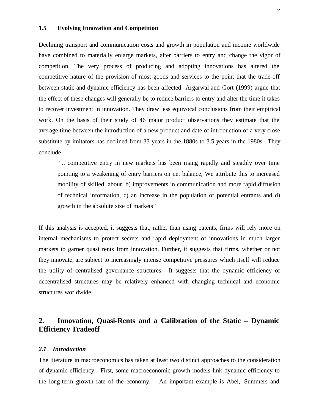#### **1.5 Evolving Innovation and Competition**

Declining transport and communication costs and growth in population and income worldwide have combined to materially enlarge markets, alter barriers to entry and change the vigor of competition. The very process of producing and adopting innovations has altered the competitive nature of the provision of most goods and services to the point that the trade-off between static and dynamic efficiency has been affected. Argarwal and Gort (1999) argue that the effect of these changes will generally be to reduce barriers to entry and alter the time it takes to recover investment in innovation. They draw less equivocal conclusions from their empirical work. On the basis of their study of 46 major product observations they estimate that the average time between the introduction of a new product and date of introduction of a very close substitute by imitators has declined from 33 years in the 1880s to 3.5 years in the 1980s. They conclude

 $\circ$ 

" .. competitive entry in new markets has been rising rapidly and steadily over time pointing to a weakening of entry barriers on net balance, We attribute this to increased mobility of skilled labour, b) improvements in communication and more rapid diffusion of technical information, c) an increase in the population of potential entrants and d) growth in the absolute size of markets"

If this analysis is accepted, it suggests that, rather than using patents, firms will rely more on internal mechanisms to protect secrets and rapid deployment of innovations in much larger markets to garner quasi rents from innovation. Further, it suggests that firms, whether or not they innovate, are subject to increasingly intense competitive pressures which itself will reduce the utility of centralised governance structures. It suggests that the dynamic efficiency of decentralised structures may be relatively enhanced with changing technical and economic structures worldwide.

# **2. Innovation, Quasi-Rents and a Calibration of the Static – Dynamic Efficiency Tradeoff**

#### *2.1 Introduction*

The literature in macroeconomics has taken at least two distinct approaches to the consideration of dynamic efficiency. First, some macroeconomic growth models link dynamic efficiency to the long-term growth rate of the economy. An important example is Abel, Summers and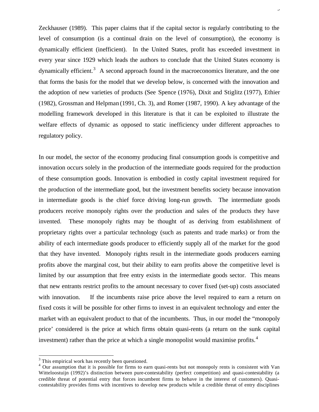Zeckhauser (1989). This paper claims that if the capital sector is regularly contributing to the level of consumption (is a continual drain on the level of consumption), the economy is dynamically efficient (inefficient). In the United States, profit has exceeded investment in every year since 1929 which leads the authors to conclude that the United States economy is dynamically efficient.<sup>3</sup> A second approach found in the macroeconomics literature, and the one that forms the basis for the model that we develop below, is concerned with the innovation and the adoption of new varieties of products (See Spence (1976), Dixit and Stiglitz (1977), Ethier (1982), Grossman and Helpman (1991, Ch. 3), and Romer (1987, 1990). A key advantage of the modelling framework developed in this literature is that it can be exploited to illustrate the welfare effects of dynamic as opposed to static inefficiency under different approaches to regulatory policy.

9

In our model, the sector of the economy producing final consumption goods is competitive and innovation occurs solely in the production of the intermediate goods required for the production of these consumption goods. Innovation is embodied in costly capital investment required for the production of the intermediate good, but the investment benefits society because innovation in intermediate goods is the chief force driving long-run growth. The intermediate goods producers receive monopoly rights over the production and sales of the products they have invented. These monopoly rights may be thought of as deriving from establishment of proprietary rights over a particular technology (such as patents and trade marks) or from the ability of each intermediate goods producer to efficiently supply all of the market for the good that they have invented. Monopoly rights result in the intermediate goods producers earning profits above the marginal cost, but their ability to earn profits above the competitive level is limited by our assumption that free entry exists in the intermediate goods sector. This means that new entrants restrict profits to the amount necessary to cover fixed (set-up) costs associated with innovation. If the incumbents raise price above the level required to earn a return on fixed costs it will be possible for other firms to invest in an equivalent technology and enter the market with an equivalent product to that of the incumbents. Thus, in our model the "monopoly price' considered is the price at which firms obtain quasi-rents (a return on the sunk capital investment) rather than the price at which a single monopolist would maximise profits.<sup>4</sup>

l

 $3$  This empirical work has recently been questioned.

<sup>&</sup>lt;sup>4</sup> Our assumption that it is possible for firms to earn quasi-rents but not monopoly rents is consistent with Van Witteloostuijn (1992)'s distinction between pure-contestability (perfect competition) and quasi-contestability (a credible threat of potential entry that forces incumbent firms to behave in the interest of customers). Quasicontestability provides firms with incentives to develop new products while a credible threat of entry disciplines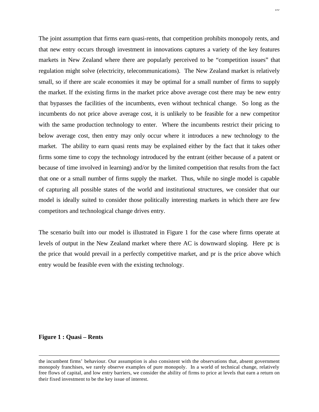The joint assumption that firms earn quasi-rents, that competition prohibits monopoly rents, and that new entry occurs through investment in innovations captures a variety of the key features markets in New Zealand where there are popularly perceived to be "competition issues" that regulation might solve (electricity, telecommunications). The New Zealand market is relatively small, so if there are scale economies it may be optimal for a small number of firms to supply the market. If the existing firms in the market price above average cost there may be new entry that bypasses the facilities of the incumbents, even without technical change. So long as the incumbents do not price above average cost, it is unlikely to be feasible for a new competitor with the same production technology to enter. Where the incumbents restrict their pricing to below average cost, then entry may only occur where it introduces a new technology to the market. The ability to earn quasi rents may be explained either by the fact that it takes other firms some time to copy the technology introduced by the entrant (either because of a patent or because of time involved in learning) and/or by the limited competition that results from the fact that one or a small number of firms supply the market. Thus, while no single model is capable of capturing all possible states of the world and institutional structures, we consider that our model is ideally suited to consider those politically interesting markets in which there are few competitors and technological change drives entry.

The scenario built into our model is illustrated in Figure 1 for the case where firms operate at levels of output in the New Zealand market where there AC is downward sloping. Here pc is the price that would prevail in a perfectly competitive market, and pr is the price above which entry would be feasible even with the existing technology.

#### **Figure 1 : Quasi – Rents**

l

the incumbent firms' behaviour. Our assumption is also consistent with the observations that, absent government monopoly franchises, we rarely observe examples of pure monopoly. In a world of technical change, relatively free flows of capital, and low entry barriers, we consider the ability of firms to price at levels that earn a return on their fixed investment to be the key issue of interest.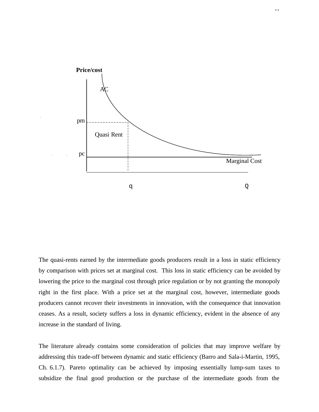

The quasi-rents earned by the intermediate goods producers result in a loss in static efficiency by comparison with prices set at marginal cost. This loss in static efficiency can be avoided by lowering the price to the marginal cost through price regulation or by not granting the monopoly right in the first place. With a price set at the marginal cost, however, intermediate goods producers cannot recover their investments in innovation, with the consequence that innovation ceases. As a result, society suffers a loss in dynamic efficiency, evident in the absence of any increase in the standard of living.

The literature already contains some consideration of policies that may improve welfare by addressing this trade-off between dynamic and static efficiency (Barro and Sala-i-Martin, 1995, Ch. 6.1.7). Pareto optimality can be achieved by imposing essentially lump-sum taxes to subsidize the final good production or the purchase of the intermediate goods from the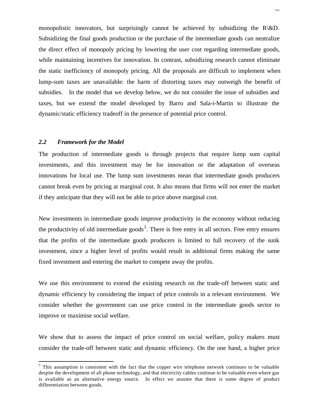monopolistic innovators, but surprisingly cannot be achieved by subsidizing the  $R\&D$ . Subsidizing the final goods production or the purchase of the intermediate goods can neutralize the direct effect of monopoly pricing by lowering the user cost regarding intermediate goods, while maintaining incentives for innovation. In contrast, subsidizing research cannot eliminate the static inefficiency of monopoly pricing. All the proposals are difficult to implement when lump-sum taxes are unavailable: the harm of distorting taxes may outweigh the benefit of subsidies. In the model that we develop below, we do not consider the issue of subsidies and taxes, but we extend the model developed by Barro and Sala-i-Martin to illustrate the dynamic/static efficiency tradeoff in the presence of potential price control.

#### *2.2 Framework for the Model*

l

The production of intermediate goods is through projects that require lump sum capital investments, and this investment may be for innovation or the adaptation of overseas innovations for local use. The lump sum investments mean that intermediate goods producers cannot break even by pricing at marginal cost. It also means that firms will not enter the market if they anticipate that they will not be able to price above marginal cost.

New investments in intermediate goods improve productivity in the economy without reducing the productivity of old intermediate  $\text{goods}^5$ . There is free entry in all sectors. Free entry ensures that the profits of the intermediate goods producers is limited to full recovery of the sunk investment, since a higher level of profits would result in additional firms making the same fixed investment and entering the market to compete away the profits.

We use this environment to extend the existing research on the trade-off between static and dynamic efficiency by considering the impact of price controls in a relevant environment. We consider whether the government can use price control in the intermediate goods sector to improve or maximise social welfare.

We show that to assess the impact of price control on social welfare, policy makers must consider the trade-off between static and dynamic efficiency. On the one hand, a higher price

<sup>&</sup>lt;sup>5</sup> This assumption is consistent with the fact that the copper wire telephone network continues to be valuable despite the development of all phone technology, and that electricity cables continue to be valuable even where gas is available as an alternative energy source. In effect we assume that there is some degree of product differentiation between goods.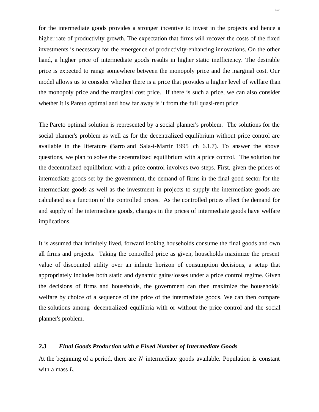for the intermediate goods provides a stronger incentive to invest in the projects and hence a higher rate of productivity growth. The expectation that firms will recover the costs of the fixed investments is necessary for the emergence of productivity-enhancing innovations. On the other hand, a higher price of intermediate goods results in higher static inefficiency. The desirable price is expected to range somewhere between the monopoly price and the marginal cost. Our model allows us to consider whether there is a price that provides a higher level of welfare than the monopoly price and the marginal cost price. If there is such a price, we can also consider whether it is Pareto optimal and how far away is it from the full quasi-rent price.

The Pareto optimal solution is represented by a social planner's problem. The solutions for the social planner's problem as well as for the decentralized equilibrium without price control are available in the literature (Barro and Sala-i-Martin 1995 ch 6.1.7). To answer the above questions, we plan to solve the decentralized equilibrium with a price control. The solution for the decentralized equilibrium with a price control involves two steps. First, given the prices of intermediate goods set by the government, the demand of firms in the final good sector for the intermediate goods as well as the investment in projects to supply the intermediate goods are calculated as a function of the controlled prices. As the controlled prices effect the demand for and supply of the intermediate goods, changes in the prices of intermediate goods have welfare implications.

It is assumed that infinitely lived, forward looking households consume the final goods and own all firms and projects. Taking the controlled price as given, households maximize the present value of discounted utility over an infinite horizon of consumption decisions, a setup that appropriately includes both static and dynamic gains/losses under a price control regime. Given the decisions of firms and households, the government can then maximize the households' welfare by choice of a sequence of the price of the intermediate goods. We can then compare the solutions among decentralized equilibria with or without the price control and the social planner's problem.

# *2.3 Final Goods Production with a Fixed Number of Intermediate Goods*

At the beginning of a period, there are *N* intermediate goods available. Population is constant with a mass *L*.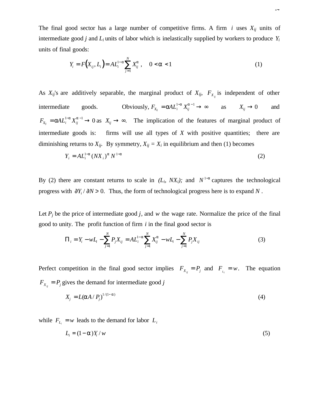The final good sector has a large number of competitive firms. A firm *i* uses *Xij* units of intermediate good *j* and *L<sup>i</sup>* units of labor which is inelastically supplied by workers to produce *Y<sup>i</sup>* units of final goods:

$$
Y_i = F(X_{ij}, L_i) = A L_i^{1-a} \sum_{j=1}^{N} X_{ij}^{a} , \quad 0 < a < 1
$$
 (1)

As  $X_{ij}$ 's are additively separable, the marginal product of  $X_{ij}$ ,  $F_{X_{ij}}$  is independent of other intermediate goods. Obviously,  $F_{X_{ij}} = aA L_i^{1-a} X_{ij}^{a-1} \to \infty$  as  $X_{ij} \to 0$  and  $F_{X_{ij}} = a A L_i^{-a} X_{ij}^{a-1} \to 0$  as  $X_{ij} \to \infty$ . The implication of the features of marginal product of intermediate goods is: firms will use all types of *X* with positive quantities; there are diminishing returns to  $X_{ij}$ . By symmetry,  $X_{ij} = X_i$  in equilibrium and then (1) becomes

$$
Y_i = A L_i^{1-a} (N X_i)^a N^{1-a}
$$
 (2)

By (2) there are constant returns to scale in  $(L_i, N X_i)$ ; and  $N^{1-a}$  captures the technological progress with ∂*Y<sup>i</sup>* / ∂*N* > 0. Thus, the form of technological progress here is to expand *N* .

Let  $P_i$  be the price of intermediate good *j*, and *w* the wage rate. Normalize the price of the final good to unity. The profit function of firm *i* in the final good sector is

$$
\Pi_{i} = Y_{i} - wL_{i} - \sum_{j=1}^{N} P_{j}X_{ij} = AL_{i}^{1-a} \sum_{j=1}^{N} X_{ij}^{a} - wL_{i} - \sum_{j=1}^{N} P_{j}X_{ij}
$$
\n(3)

Perfect competition in the final good sector implies  $F_{X_{ij}} = P_j$  and  $F_{L_i} = w$ . The equation  $F_{X_{ij}} = P_j$  gives the demand for intermediate good *j* 

$$
X_j = L(\mathbf{a}A/P_j)^{1/(1-\mathbf{a})} \tag{4}
$$

while  $F_{L_i} = w$  leads to the demand for labor  $L_i$ 

$$
L_i = (1 - a)Y_i / w \tag{5}
$$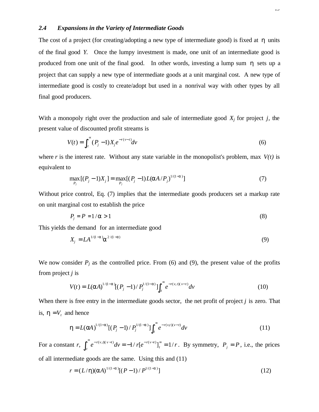# *2.4 Expansions in the Variety of Intermediate Goods*

The cost of a project (for creating/adopting a new type of intermediate good) is fixed at *h* units of the final good *Y.* Once the lumpy investment is made, one unit of an intermediate good is produced from one unit of the final good. In other words, investing a lump sum *h* sets up a project that can supply a new type of intermediate goods at a unit marginal cost. A new type of intermediate good is costly to create/adopt but used in a nonrival way with other types by all final good producers.

With a monopoly right over the production and sale of intermediate good *Xj* for project *j,* the present value of discounted profit streams is

$$
V(t) = \int_{t}^{\infty} (P_j - 1) X_j e^{-r(\nu - t)} dv
$$
 (6)

where *r* is the interest rate. Without any state variable in the monopolist's problem, max  $V(t)$  is equivalent to

$$
\max_{P_j} [(P_j - 1)X_j] = \max_{P_j} [(P_j - 1)L(aA/P_j)^{1/(1-a)}]
$$
\n(7)

Without price control, Eq. (7) implies that the intermediate goods producers set a markup rate on unit marginal cost to establish the price

$$
P_j = P = 1/a > 1\tag{8}
$$

This yields the demand for an intermediate good

$$
X_j = LA^{1/(1-a)} \mathbf{a}^{2/(1-a)}
$$
 (9)

We now consider  $P_j$  as the controlled price. From (6) and (9), the present value of the profits from project *j* is

$$
V(t) = L(\mathbf{a}A)^{1/(1-\mathbf{a})}[(P_j - 1)/P_j^{1/(1-\mathbf{a})}] \int_t^{\infty} e^{-r(v,t)(v-t)} dv
$$
 (10)

When there is free entry in the intermediate goods sector, the net profit of project *j* is zero. That is,  $\mathbf{h} = V_t$  and hence

$$
\mathbf{h} = L(\mathbf{a}A)^{1/(1-\mathbf{a})}[(P_j - 1)/P_j^{1/(1-\mathbf{a})}] \int_t^{\infty} e^{-r(v,t)(v-t)} dv \qquad (11)
$$

For a constant *r*,  $\int_{t}^{\infty} e^{-r(v,t)(v-t)} dv$  $\int_{t}^{\infty} e^{-r(v, t)(v-t)} dv = -1/r[e^{-r(v-t)}]_{t}^{\infty} = 1/r$ . By symmetry,  $P_{j} = P$ , i.e., the prices of all intermediate goods are the same. Using this and (11)

$$
r = (L/h)(aA)^{1/(1-a)}[(P-1)/P^{1/(1-a)}]
$$
\n(12)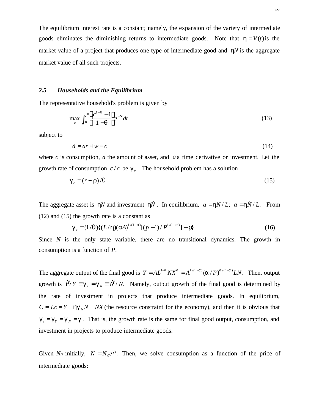The equilibrium interest rate is a constant; namely, the expansion of the variety of intermediate goods eliminates the diminishing returns to intermediate goods. Note that  $h = V(t)$  is the market value of a project that produces one type of intermediate good and *hN* is the aggregate market value of all such projects.

#### *2.5 Households and the Equilibrium*

The representative household's problem is given by

$$
\max_{c} \int_{0}^{\infty} \left( \frac{c^{1-q} - 1}{1-q} \right) e^{-rt} dt
$$
\n(13)

subject to

$$
\dot{a} = ar + w - c \tag{14}
$$

where  $c$  is consumption,  $a$  the amount of asset, and  $\dot{a}$  a time derivative or investment. Let the growth rate of consumption  $\dot{c}/c$  be  $g_c$ . The household problem has a solution

$$
\boldsymbol{g}_c = (r - \mathbf{r})/\mathbf{q} \tag{15}
$$

The aggregate asset is *hN* and investment *hN*. In equilibrium,  $a = hN/L$ ;  $\dot{a} = h\dot{N}/L$ . From (12) and (15) the growth rate is a constant as

$$
\mathbf{g}_c = (1/\mathbf{q})\{ (L/\mathbf{h})(\mathbf{a}A)^{1/(1-\mathbf{a})}[(p-1)/P^{1/(1-\mathbf{a})}] - \mathbf{r} \}
$$
(16)

Since *N* is the only state variable, there are no transitional dynamics. The growth in consumption is a function of *P*.

The aggregate output of the final good is  $Y = AL^{1-a}NX^a = A^{1/(1-a)}(a/P)^{a/(1-a)}LN$ . Then, output growth is  $\hat{Y}/Y \equiv g_Y = g_N \equiv \hat{N}/N$ . Namely, output growth of the final good is determined by the rate of investment in projects that produce intermediate goods. In equilibrium,  $C = Lc = Y - hg<sub>N</sub>N - NX$  (the resource constraint for the economy), and then it is obvious that  $g_c = g_y = g_x = g$ . That is, the growth rate is the same for final good output, consumption, and investment in projects to produce intermediate goods.

Given  $N_0$  initially,  $N = N_0 e^{gt}$ . Then, we solve consumption as a function of the price of intermediate goods: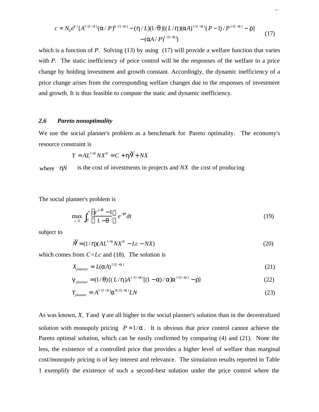$$
c = N_0 e^{g \cdot t} \{ A^{1/(1-a)} (\mathbf{a}/P)^{\mathbf{a}/(1-a)} - (\mathbf{h}/L) (1/q) [ (L/\mathbf{h}) (\mathbf{a}A)^{1/(1-a)} (P-1)/P^{1/(1-a)} - \mathbf{r} ] - (\mathbf{a}A/P)^{1/(1-a)} \}
$$
(17)

which is a function of *P*. Solving (13) by using (17) will provide a welfare function that varies with *P*. The static inefficiency of price control will be the responses of the welfare to a price change by holding investment and growth constant. Accordingly, the dynamic inefficiency of a price change arises from the corresponding welfare changes due to the responses of investment and growth. It is thus feasible to compute the static and dynamic inefficiency.

#### *2.6 Pareto nonoptimality*

We use the social planner's problem as a benchmark for Pareto optimality. The economy's resource constraint is

$$
Y = AL^{1-a}NX^a = C + \mathbf{h}X + NX
$$

where  $h\dot{N}$ *h* is the cost of investments in projects and *NX* the cost of producing

The social planner's problem is

$$
\max_{c,X} \int_0^\infty \left( \frac{c^{1-q} - 1}{1-q} \right) e^{-rt} dt \tag{19}
$$

subject to

$$
\dot{N} = (1/\mathbf{h})(AL^{1-a}NX^a - Lc - Nx) \tag{20}
$$

which comes from *C=Lc* and (18). The solution is

$$
X_{\text{planner}} = L(\mathbf{a}A)^{1/(1-\mathbf{a})} \tag{21}
$$

$$
\mathbf{g}_{\text{planner}} = (1/\mathbf{q}) \{ (L/\mathbf{h}) A^{1/(1-a)} [(1-a)/a] a^{1/(1-a)} - r \}
$$
(22)

$$
Y_{\text{planner}} = A^{1/(1-a)} \mathbf{a}^{a/(1-a)} L N \tag{23}
$$

As was known, *X, Y* and *g* are all higher in the social planner's solution than in the decentralized solution with monopoly pricing  $P = 1/a$ . It is obvious that price control cannot achieve the Pareto optimal solution, which can be easily confirmed by comparing (4) and (21). None the less, the existence of a controlled price that provides a higher level of welfare than marginal cost/monopoly pricing is of key interest and relevance. The simulation results reported in Table 1 exemplify the existence of such a second-best solution under the price control where the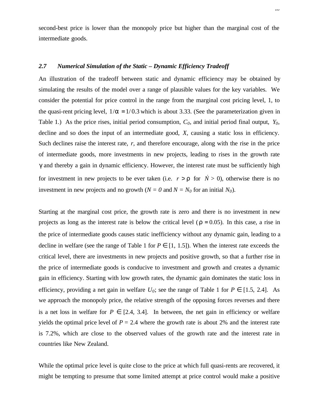second-best price is lower than the monopoly price but higher than the marginal cost of the intermediate goods.

# *2.7 Numerical Simulation of the Static – Dynamic Efficiency Tradeoff*

An illustration of the tradeoff between static and dynamic efficiency may be obtained by simulating the results of the model over a range of plausible values for the key variables. We consider the potential for price control in the range from the marginal cost pricing level, 1, to the quasi-rent pricing level,  $1/a = 1/0.3$  which is about 3.33. (See the parameterization given in Table 1.) As the price rises, initial period consumption, *C0,* and initial period final output, *Y0,* decline and so does the input of an intermediate good, *X,* causing a static loss in efficiency. Such declines raise the interest rate, *r,* and therefore encourage, along with the rise in the price of intermediate goods, more investments in new projects, leading to rises in the growth rate *g* and thereby a gain in dynamic efficiency. However, the interest rate must be sufficiently high for investment in new projects to be ever taken (i.e.  $r > r$  for  $\dot{N} > 0$ ), otherwise there is no investment in new projects and no growth ( $N = 0$  and  $N = N_0$  for an initial  $N_0$ ).

Starting at the marginal cost price, the growth rate is zero and there is no investment in new projects as long as the interest rate is below the critical level ( $r = 0.05$ ). In this case, a rise in the price of intermediate goods causes static inefficiency without any dynamic gain, leading to a decline in welfare (see the range of Table 1 for  $P \in [1, 1.5]$ ). When the interest rate exceeds the critical level, there are investments in new projects and positive growth, so that a further rise in the price of intermediate goods is conducive to investment and growth and creates a dynamic gain in efficiency. Starting with low growth rates, the dynamic gain dominates the static loss in efficiency, providing a net gain in welfare  $U_0$ ; see the range of Table 1 for  $P \in [1.5, 2.4]$ . As we approach the monopoly price, the relative strength of the opposing forces reverses and there is a net loss in welfare for  $P \in [2.4, 3.4]$ . In between, the net gain in efficiency or welfare yields the optimal price level of  $P = 2.4$  where the growth rate is about 2% and the interest rate is 7.2%, which are close to the observed values of the growth rate and the interest rate in countries like New Zealand.

While the optimal price level is quite close to the price at which full quasi-rents are recovered, it might be tempting to presume that some limited attempt at price control would make a positive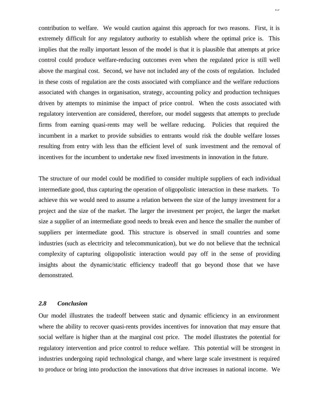contribution to welfare. We would caution against this approach for two reasons. First, it is extremely difficult for any regulatory authority to establish where the optimal price is. This implies that the really important lesson of the model is that it is plausible that attempts at price control could produce welfare-reducing outcomes even when the regulated price is still well above the marginal cost. Second, we have not included any of the costs of regulation. Included in these costs of regulation are the costs associated with compliance and the welfare reductions associated with changes in organisation, strategy, accounting policy and production techniques driven by attempts to minimise the impact of price control. When the costs associated with regulatory intervention are considered, therefore, our model suggests that attempts to preclude firms from earning quasi-rents may well be welfare reducing. Policies that required the incumbent in a market to provide subsidies to entrants would risk the double welfare losses resulting from entry with less than the efficient level of sunk investment and the removal of incentives for the incumbent to undertake new fixed investments in innovation in the future.

The structure of our model could be modified to consider multiple suppliers of each individual intermediate good, thus capturing the operation of oligopolistic interaction in these markets. To achieve this we would need to assume a relation between the size of the lumpy investment for a project and the size of the market. The larger the investment per project, the larger the market size a supplier of an intermediate good needs to break even and hence the smaller the number of suppliers per intermediate good. This structure is observed in small countries and some industries (such as electricity and telecommunication), but we do not believe that the technical complexity of capturing oligopolistic interaction would pay off in the sense of providing insights about the dynamic/static efficiency tradeoff that go beyond those that we have demonstrated.

# *2.8 Conclusion*

Our model illustrates the tradeoff between static and dynamic efficiency in an environment where the ability to recover quasi-rents provides incentives for innovation that may ensure that social welfare is higher than at the marginal cost price. The model illustrates the potential for regulatory intervention and price control to reduce welfare. This potential will be strongest in industries undergoing rapid technological change, and where large scale investment is required to produce or bring into production the innovations that drive increases in national income. We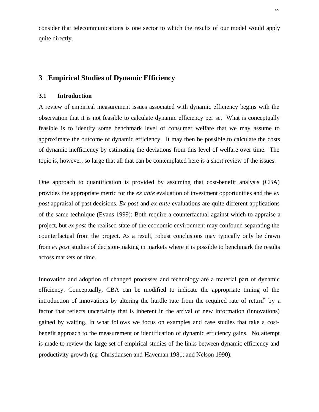consider that telecommunications is one sector to which the results of our model would apply quite directly.

# **3 Empirical Studies of Dynamic Efficiency**

# **3.1 Introduction**

A review of empirical measurement issues associated with dynamic efficiency begins with the observation that it is not feasible to calculate dynamic efficiency per se. What is conceptually feasible is to identify some benchmark level of consumer welfare that we may assume to approximate the outcome of dynamic efficiency. It may then be possible to calculate the costs of dynamic inefficiency by estimating the deviations from this level of welfare over time. The topic is, however, so large that all that can be contemplated here is a short review of the issues.

One approach to quantification is provided by assuming that cost-benefit analysis (CBA) provides the appropriate metric for the *ex ante* evaluation of investment opportunities and the *ex post* appraisal of past decisions. *Ex post* and *ex ante* evaluations are quite different applications of the same technique (Evans 1999): Both require a counterfactual against which to appraise a project, but *ex post* the realised state of the economic environment may confound separating the counterfactual from the project. As a result, robust conclusions may typically only be drawn from *ex post* studies of decision-making in markets where it is possible to benchmark the results across markets or time.

Innovation and adoption of changed processes and technology are a material part of dynamic efficiency. Conceptually, CBA can be modified to indicate the appropriate timing of the introduction of innovations by altering the hurdle rate from the required rate of return<sup>6</sup> by a factor that reflects uncertainty that is inherent in the arrival of new information (innovations) gained by waiting. In what follows we focus on examples and case studies that take a costbenefit approach to the measurement or identification of dynamic efficiency gains. No attempt is made to review the large set of empirical studies of the links between dynamic efficiency and productivity growth (eg Christiansen and Haveman 1981; and Nelson 1990).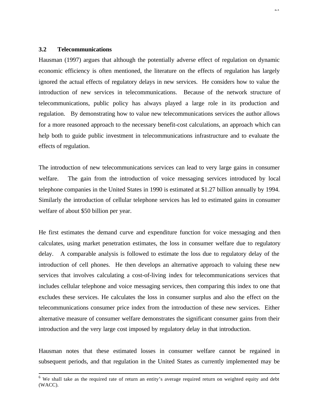# **3.2 Telecommunications**

l

Hausman (1997) argues that although the potentially adverse effect of regulation on dynamic economic efficiency is often mentioned, the literature on the effects of regulation has largely ignored the actual effects of regulatory delays in new services. He considers how to value the introduction of new services in telecommunications. Because of the network structure of telecommunications, public policy has always played a large role in its production and regulation. By demonstrating how to value new telecommunications services the author allows for a more reasoned approach to the necessary benefit-cost calculations, an approach which can help both to guide public investment in telecommunications infrastructure and to evaluate the effects of regulation.

The introduction of new telecommunications services can lead to very large gains in consumer welfare. The gain from the introduction of voice messaging services introduced by local telephone companies in the United States in 1990 is estimated at \$1.27 billion annually by 1994. Similarly the introduction of cellular telephone services has led to estimated gains in consumer welfare of about \$50 billion per year.

He first estimates the demand curve and expenditure function for voice messaging and then calculates, using market penetration estimates, the loss in consumer welfare due to regulatory delay. A comparable analysis is followed to estimate the loss due to regulatory delay of the introduction of cell phones. He then develops an alternative approach to valuing these new services that involves calculating a cost-of-living index for telecommunications services that includes cellular telephone and voice messaging services, then comparing this index to one that excludes these services. He calculates the loss in consumer surplus and also the effect on the telecommunications consumer price index from the introduction of these new services. Either alternative measure of consumer welfare demonstrates the significant consumer gains from their introduction and the very large cost imposed by regulatory delay in that introduction.

Hausman notes that these estimated losses in consumer welfare cannot be regained in subsequent periods, and that regulation in the United States as currently implemented may be

<sup>&</sup>lt;sup>6</sup> We shall take as the required rate of return an entity's average required return on weighted equity and debt (WACC).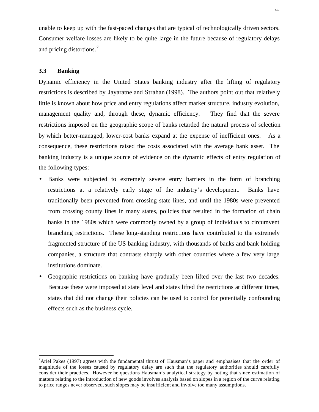unable to keep up with the fast-paced changes that are typical of technologically driven sectors. Consumer welfare losses are likely to be quite large in the future because of regulatory delays and pricing distortions.<sup>7</sup>

# **3.3 Banking**

l

Dynamic efficiency in the United States banking industry after the lifting of regulatory restrictions is described by Jayaratne and Strahan (1998). The authors point out that relatively little is known about how price and entry regulations affect market structure, industry evolution, management quality and, through these, dynamic efficiency. They find that the severe restrictions imposed on the geographic scope of banks retarded the natural process of selection by which better-managed, lower-cost banks expand at the expense of inefficient ones. As a consequence, these restrictions raised the costs associated with the average bank asset. The banking industry is a unique source of evidence on the dynamic effects of entry regulation of the following types:

- Banks were subjected to extremely severe entry barriers in the form of branching restrictions at a relatively early stage of the industry's development. Banks have traditionally been prevented from crossing state lines, and until the 1980s were prevented from crossing county lines in many states, policies that resulted in the formation of chain banks in the 1980s which were commonly owned by a group of individuals to circumvent branching restrictions. These long-standing restrictions have contributed to the extremely fragmented structure of the US banking industry, with thousands of banks and bank holding companies, a structure that contrasts sharply with other countries where a few very large institutions dominate.
- Geographic restrictions on banking have gradually been lifted over the last two decades. Because these were imposed at state level and states lifted the restrictions at different times, states that did not change their policies can be used to control for potentially confounding effects such as the business cycle.

<sup>&</sup>lt;sup>7</sup>Ariel Pakes (1997) agrees with the fundamental thrust of Hausman's paper and emphasises that the order of magnitude of the losses caused by regulatory delay are such that the regulatory authorities should carefully consider their practices. However he questions Hausman's analytical strategy by noting that since estimation of matters relating to the introduction of new goods involves analysis based on slopes in a region of the curve relating to price ranges never observed, such slopes may be insufficient and involve too many assumptions.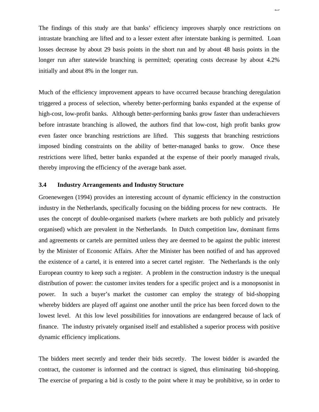The findings of this study are that banks' efficiency improves sharply once restrictions on intrastate branching are lifted and to a lesser extent after interstate banking is permitted. Loan losses decrease by about 29 basis points in the short run and by about 48 basis points in the longer run after statewide branching is permitted; operating costs decrease by about 4.2% initially and about 8% in the longer run.

Much of the efficiency improvement appears to have occurred because branching deregulation triggered a process of selection, whereby better-performing banks expanded at the expense of high-cost, low-profit banks. Although better-performing banks grow faster than underachievers before intrastate branching is allowed, the authors find that low-cost, high profit banks grow even faster once branching restrictions are lifted. This suggests that branching restrictions imposed binding constraints on the ability of better-managed banks to grow. Once these restrictions were lifted, better banks expanded at the expense of their poorly managed rivals, thereby improving the efficiency of the average bank asset.

# **3.4 Industry Arrangements and Industry Structure**

Groenewegen (1994) provides an interesting account of dynamic efficiency in the construction industry in the Netherlands, specifically focusing on the bidding process for new contracts. He uses the concept of double-organised markets (where markets are both publicly and privately organised) which are prevalent in the Netherlands. In Dutch competition law, dominant firms and agreements or cartels are permitted unless they are deemed to be against the public interest by the Minister of Economic Affairs. After the Minister has been notified of and has approved the existence of a cartel, it is entered into a secret cartel register. The Netherlands is the only European country to keep such a register. A problem in the construction industry is the unequal distribution of power: the customer invites tenders for a specific project and is a monopsonist in power. In such a buyer's market the customer can employ the strategy of bid-shopping whereby bidders are played off against one another until the price has been forced down to the lowest level. At this low level possibilities for innovations are endangered because of lack of finance. The industry privately organised itself and established a superior process with positive dynamic efficiency implications.

The bidders meet secretly and tender their bids secretly. The lowest bidder is awarded the contract, the customer is informed and the contract is signed, thus eliminating bid-shopping. The exercise of preparing a bid is costly to the point where it may be prohibitive, so in order to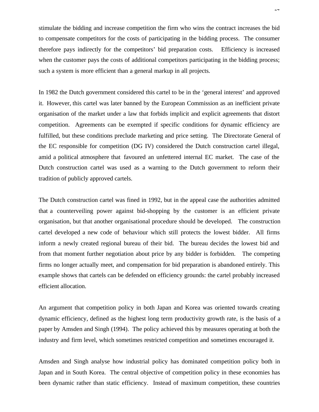stimulate the bidding and increase competition the firm who wins the contract increases the bid to compensate competitors for the costs of participating in the bidding process. The consumer therefore pays indirectly for the competitors' bid preparation costs. Efficiency is increased when the customer pays the costs of additional competitors participating in the bidding process; such a system is more efficient than a general markup in all projects.

In 1982 the Dutch government considered this cartel to be in the 'general interest' and approved it. However, this cartel was later banned by the European Commission as an inefficient private organisation of the market under a law that forbids implicit and explicit agreements that distort competition. Agreements can be exempted if specific conditions for dynamic efficiency are fulfilled, but these conditions preclude marketing and price setting. The Directorate General of the EC responsible for competition (DG IV) considered the Dutch construction cartel illegal, amid a political atmosphere that favoured an unfettered internal EC market. The case of the Dutch construction cartel was used as a warning to the Dutch government to reform their tradition of publicly approved cartels.

The Dutch construction cartel was fined in 1992, but in the appeal case the authorities admitted that a counterveiling power against bid-shopping by the customer is an efficient private organisation, but that another organisational procedure should be developed. The construction cartel developed a new code of behaviour which still protects the lowest bidder. All firms inform a newly created regional bureau of their bid. The bureau decides the lowest bid and from that moment further negotiation about price by any bidder is forbidden. The competing firms no longer actually meet, and compensation for bid preparation is abandoned entirely. This example shows that cartels can be defended on efficiency grounds: the cartel probably increased efficient allocation.

An argument that competition policy in both Japan and Korea was oriented towards creating dynamic efficiency, defined as the highest long term productivity growth rate, is the basis of a paper by Amsden and Singh (1994). The policy achieved this by measures operating at both the industry and firm level, which sometimes restricted competition and sometimes encouraged it.

Amsden and Singh analyse how industrial policy has dominated competition policy both in Japan and in South Korea. The central objective of competition policy in these economies has been dynamic rather than static efficiency. Instead of maximum competition, these countries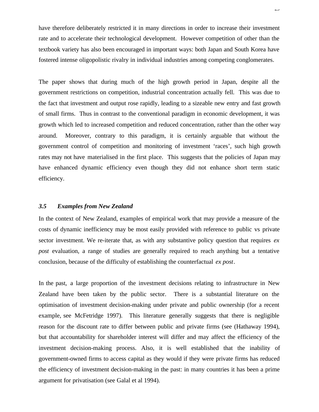have therefore deliberately restricted it in many directions in order to increase their investment rate and to accelerate their technological development. However competition of other than the textbook variety has also been encouraged in important ways: both Japan and South Korea have fostered intense oligopolistic rivalry in individual industries among competing conglomerates.

The paper shows that during much of the high growth period in Japan, despite all the government restrictions on competition, industrial concentration actually fell. This was due to the fact that investment and output rose rapidly, leading to a sizeable new entry and fast growth of small firms. Thus in contrast to the conventional paradigm in economic development, it was growth which led to increased competition and reduced concentration, rather than the other way around. Moreover, contrary to this paradigm, it is certainly arguable that without the government control of competition and monitoring of investment 'races', such high growth rates may not have materialised in the first place. This suggests that the policies of Japan may have enhanced dynamic efficiency even though they did not enhance short term static efficiency.

## *3.5 Examples from New Zealand*

In the context of New Zealand, examples of empirical work that may provide a measure of the costs of dynamic inefficiency may be most easily provided with reference to public vs private sector investment. We re-iterate that, as with any substantive policy question that requires *ex post* evaluation, a range of studies are generally required to reach anything but a tentative conclusion, because of the difficulty of establishing the counterfactual *ex post*.

In the past, a large proportion of the investment decisions relating to infrastructure in New Zealand have been taken by the public sector. There is a substantial literature on the optimisation of investment decision-making under private and public ownership (for a recent example, see McFetridge 1997). This literature generally suggests that there is negligible reason for the discount rate to differ between public and private firms (see (Hathaway 1994), but that accountability for shareholder interest will differ and may affect the efficiency of the investment decision-making process. Also, it is well established that the inability of government-owned firms to access capital as they would if they were private firms has reduced the efficiency of investment decision-making in the past: in many countries it has been a prime argument for privatisation (see Galal et al 1994).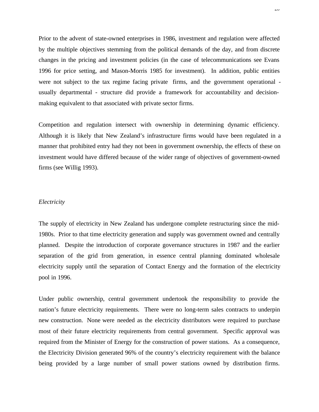Prior to the advent of state-owned enterprises in 1986, investment and regulation were affected by the multiple objectives stemming from the political demands of the day, and from discrete changes in the pricing and investment policies (in the case of telecommunications see Evans 1996 for price setting, and Mason-Morris 1985 for investment). In addition, public entities were not subject to the tax regime facing private firms, and the government operational usually departmental - structure did provide a framework for accountability and decisionmaking equivalent to that associated with private sector firms.

Competition and regulation intersect with ownership in determining dynamic efficiency. Although it is likely that New Zealand's infrastructure firms would have been regulated in a manner that prohibited entry had they not been in government ownership, the effects of these on investment would have differed because of the wider range of objectives of government-owned firms (see Willig 1993).

#### *Electricity*

The supply of electricity in New Zealand has undergone complete restructuring since the mid-1980s. Prior to that time electricity generation and supply was government owned and centrally planned. Despite the introduction of corporate governance structures in 1987 and the earlier separation of the grid from generation, in essence central planning dominated wholesale electricity supply until the separation of Contact Energy and the formation of the electricity pool in 1996.

Under public ownership, central government undertook the responsibility to provide the nation's future electricity requirements. There were no long-term sales contracts to underpin new construction. None were needed as the electricity distributors were required to purchase most of their future electricity requirements from central government. Specific approval was required from the Minister of Energy for the construction of power stations. As a consequence, the Electricity Division generated 96% of the country's electricity requirement with the balance being provided by a large number of small power stations owned by distribution firms.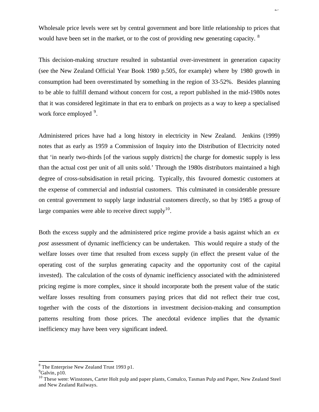Wholesale price levels were set by central government and bore little relationship to prices that would have been set in the market, or to the cost of providing new generating capacity. <sup>8</sup>

This decision-making structure resulted in substantial over-investment in generation capacity (see the New Zealand Official Year Book 1980 p.505, for example) where by 1980 growth in consumption had been overestimated by something in the region of 33-52%. Besides planning to be able to fulfill demand without concern for cost, a report published in the mid-1980s notes that it was considered legitimate in that era to embark on projects as a way to keep a specialised work force employed <sup>9</sup>.

Administered prices have had a long history in electricity in New Zealand. Jenkins (1999) notes that as early as 1959 a Commission of Inquiry into the Distribution of Electricity noted that 'in nearly two-thirds [of the various supply districts] the charge for domestic supply is less than the actual cost per unit of all units sold.' Through the 1980s distributors maintained a high degree of cross-subsidisation in retail pricing. Typically, this favoured domestic customers at the expense of commercial and industrial customers. This culminated in considerable pressure on central government to supply large industrial customers directly, so that by 1985 a group of large companies were able to receive direct supply $10$ .

Both the excess supply and the administered price regime provide a basis against which an *ex post* assessment of dynamic inefficiency can be undertaken. This would require a study of the welfare losses over time that resulted from excess supply (in effect the present value of the operating cost of the surplus generating capacity and the opportunity cost of the capital invested). The calculation of the costs of dynamic inefficiency associated with the administered pricing regime is more complex, since it should incorporate both the present value of the static welfare losses resulting from consumers paying prices that did not reflect their true cost, together with the costs of the distortions in investment decision-making and consumption patterns resulting from those prices. The anecdotal evidence implies that the dynamic inefficiency may have been very significant indeed.

l

<sup>&</sup>lt;sup>8</sup> The Enterprise New Zealand Trust 1993 p1.

 $9^9$ Galvin, p10.

<sup>&</sup>lt;sup>10</sup> These were: Winstones, Carter Holt pulp and paper plants, Comalco, Tasman Pulp and Paper, New Zealand Steel and New Zealand Railways.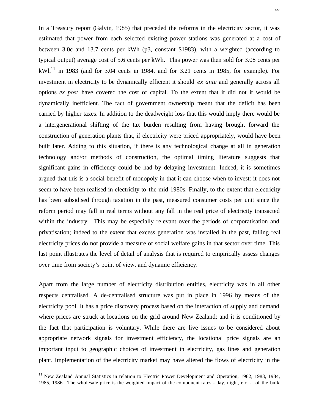In a Treasury report (Galvin, 1985) that preceded the reforms in the electricity sector, it was estimated that power from each selected existing power stations was generated at a cost of between 3.0c and 13.7 cents per kWh (p3, constant \$1983), with a weighted (according to typical output) average cost of 5.6 cents per kWh. This power was then sold for 3.08 cents per  $kWh<sup>11</sup>$  in 1983 (and for 3.04 cents in 1984, and for 3.21 cents in 1985, for example). For investment in electricity to be dynamically efficient it should *ex ante* and generally across all options *ex post* have covered the cost of capital. To the extent that it did not it would be dynamically inefficient. The fact of government ownership meant that the deficit has been carried by higher taxes. In addition to the deadweight loss that this would imply there would be a intergenerational shifting of the tax burden resulting from having brought forward the construction of generation plants that, if electricity were priced appropriately, would have been built later. Adding to this situation, if there is any technological change at all in generation technology and/or methods of construction, the optimal timing literature suggests that significant gains in efficiency could be had by delaying investment. Indeed, it is sometimes argued that this is a social benefit of monopoly in that it can choose when to invest: it does not seem to have been realised in electricity to the mid 1980s. Finally, to the extent that electricity has been subsidised through taxation in the past, measured consumer costs per unit since the reform period may fall in real terms without any fall in the real price of electricity transacted within the industry. This may be especially relevant over the periods of corporatisation and privatisation; indeed to the extent that excess generation was installed in the past, falling real electricity prices do not provide a measure of social welfare gains in that sector over time. This last point illustrates the level of detail of analysis that is required to empirically assess changes over time from society's point of view, and dynamic efficiency.

Apart from the large number of electricity distribution entities, electricity was in all other respects centralised. A de-centralised structure was put in place in 1996 by means of the electricity pool. It has a price discovery process based on the interaction of supply and demand where prices are struck at locations on the grid around New Zealand: and it is conditioned by the fact that participation is voluntary. While there are live issues to be considered about appropriate network signals for investment efficiency, the locational price signals are an important input to geographic choices of investment in electricity, gas lines and generation plant. Implementation of the electricity market may have altered the flows of electricity in the

l

<sup>&</sup>lt;sup>11</sup> New Zealand Annual Statistics in relation to Electric Power Development and Operation, 1982, 1983, 1984, 1985, 1986. The wholesale price is the weighted impact of the component rates - day, night, etc - of the bulk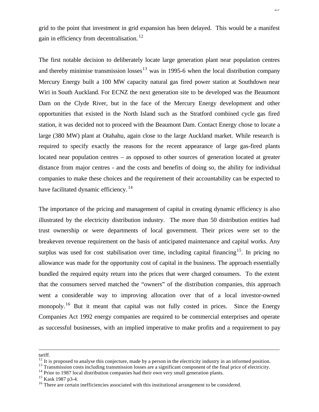grid to the point that investment in grid expansion has been delayed. This would be a manifest gain in efficiency from decentralisation. <sup>12</sup>

The first notable decision to deliberately locate large generation plant near population centres and thereby minimise transmission losses<sup>13</sup> was in 1995-6 when the local distribution company Mercury Energy built a 100 MW capacity natural gas fired power station at Southdown near Wiri in South Auckland. For ECNZ the next generation site to be developed was the Beaumont Dam on the Clyde River, but in the face of the Mercury Energy development and other opportunities that existed in the North Island such as the Stratford combined cycle gas fired station, it was decided not to proceed with the Beaumont Dam. Contact Energy chose to locate a large (380 MW) plant at Otahahu, again close to the large Auckland market. While research is required to specify exactly the reasons for the recent appearance of large gas-fired plants located near population centres – as opposed to other sources of generation located at greater distance from major centres - and the costs and benefits of doing so, the ability for individual companies to make these choices and the requirement of their accountability can be expected to have facilitated dynamic efficiency.<sup>14</sup>

The importance of the pricing and management of capital in creating dynamic efficiency is also illustrated by the electricity distribution industry. The more than 50 distribution entities had trust ownership or were departments of local government. Their prices were set to the breakeven revenue requirement on the basis of anticipated maintenance and capital works. Any surplus was used for cost stabilisation over time, including capital financing<sup>15</sup>. In pricing no allowance was made for the opportunity cost of capital in the business. The approach essentially bundled the required equity return into the prices that were charged consumers. To the extent that the consumers served matched the "owners" of the distribution companies, this approach went a considerable way to improving allocation over that of a local investor-owned monopoly.<sup>16</sup> But it meant that capital was not fully costed in prices. Since the Energy Companies Act 1992 energy companies are required to be commercial enterprises and operate as successful businesses, with an implied imperative to make profits and a requirement to pay

tariff.

l

<sup>14</sup> Prior to 1987 local distribution companies had their own very small generation plants.

 $12$  It is proposed to analyse this conjecture, made by a person in the electricity industry in an informed position.

<sup>&</sup>lt;sup>13</sup> Transmission costs including transmission losses are a significant component of the final price of electricity.

<sup>15</sup> Kask 1987 p3-4.

<sup>&</sup>lt;sup>16</sup> There are certain inefficiencies associated with this institutional arrangement to be considered.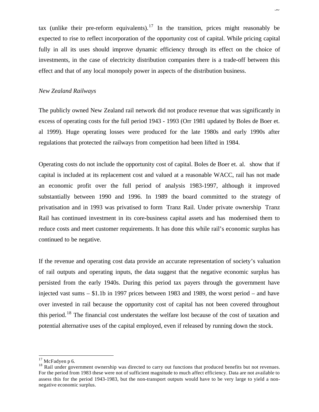tax (unlike their pre-reform equivalents).<sup>17</sup> In the transition, prices might reasonably be expected to rise to reflect incorporation of the opportunity cost of capital. While pricing capital fully in all its uses should improve dynamic efficiency through its effect on the choice of investments, in the case of electricity distribution companies there is a trade-off between this effect and that of any local monopoly power in aspects of the distribution business.

#### *New Zealand Railways*

The publicly owned New Zealand rail network did not produce revenue that was significantly in excess of operating costs for the full period 1943 - 1993 (Orr 1981 updated by Boles de Boer et. al 1999). Huge operating losses were produced for the late 1980s and early 1990s after regulations that protected the railways from competition had been lifted in 1984.

Operating costs do not include the opportunity cost of capital. Boles de Boer et. al. show that if capital is included at its replacement cost and valued at a reasonable WACC, rail has not made an economic profit over the full period of analysis 1983-1997, although it improved substantially between 1990 and 1996. In 1989 the board committed to the strategy of privatisation and in 1993 was privatised to form Tranz Rail. Under private ownership Tranz Rail has continued investment in its core-business capital assets and has modernised them to reduce costs and meet customer requirements. It has done this while rail's economic surplus has continued to be negative.

If the revenue and operating cost data provide an accurate representation of society's valuation of rail outputs and operating inputs, the data suggest that the negative economic surplus has persisted from the early 1940s. During this period tax payers through the government have injected vast sums – \$1.1b in 1997 prices between 1983 and 1989, the worst period – and have over invested in rail because the opportunity cost of capital has not been covered throughout this period.<sup>18</sup> The financial cost understates the welfare lost because of the cost of taxation and potential alternative uses of the capital employed, even if released by running down the stock.

l

 $17$  McFadyen p 6.

<sup>&</sup>lt;sup>18</sup> Rail under government ownership was directed to carry out functions that produced benefits but not revenues. For the period from 1983 these were not of sufficient magnitude to much affect efficiency. Data are not available to assess this for the period 1943-1983, but the non-transport outputs would have to be very large to yield a nonnegative economic surplus.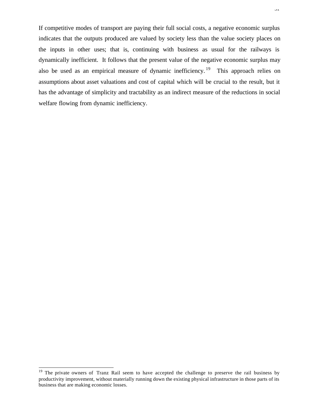If competitive modes of transport are paying their full social costs, a negative economic surplus indicates that the outputs produced are valued by society less than the value society places on the inputs in other uses; that is, continuing with business as usual for the railways is dynamically inefficient. It follows that the present value of the negative economic surplus may also be used as an empirical measure of dynamic inefficiency.<sup>19</sup> This approach relies on assumptions about asset valuations and cost of capital which will be crucial to the result, but it has the advantage of simplicity and tractability as an indirect measure of the reductions in social welfare flowing from dynamic inefficiency.

l

<sup>&</sup>lt;sup>19</sup> The private owners of Tranz Rail seem to have accepted the challenge to preserve the rail business by productivity improvement, without materially running down the existing physical infrastructure in those parts of its business that are making economic losses.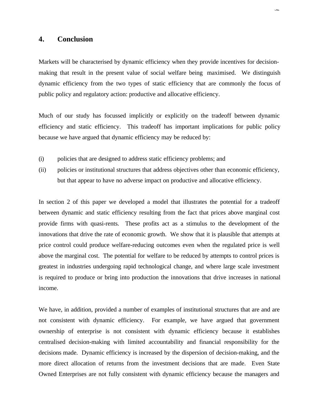# **4. Conclusion**

Markets will be characterised by dynamic efficiency when they provide incentives for decisionmaking that result in the present value of social welfare being maximised. We distinguish dynamic efficiency from the two types of static efficiency that are commonly the focus of public policy and regulatory action: productive and allocative efficiency.

Much of our study has focussed implicitly or explicitly on the tradeoff between dynamic efficiency and static efficiency. This tradeoff has important implications for public policy because we have argued that dynamic efficiency may be reduced by:

- (i) policies that are designed to address static efficiency problems; and
- (ii) policies or institutional structures that address objectives other than economic efficiency, but that appear to have no adverse impact on productive and allocative efficiency.

In section 2 of this paper we developed a model that illustrates the potential for a tradeoff between dynamic and static efficiency resulting from the fact that prices above marginal cost provide firms with quasi-rents. These profits act as a stimulus to the development of the innovations that drive the rate of economic growth. We show that it is plausible that attempts at price control could produce welfare-reducing outcomes even when the regulated price is well above the marginal cost. The potential for welfare to be reduced by attempts to control prices is greatest in industries undergoing rapid technological change, and where large scale investment is required to produce or bring into production the innovations that drive increases in national income.

We have, in addition, provided a number of examples of institutional structures that are and are not consistent with dynamic efficiency. For example, we have argued that government ownership of enterprise is not consistent with dynamic efficiency because it establishes centralised decision-making with limited accountability and financial responsibility for the decisions made. Dynamic efficiency is increased by the dispersion of decision-making, and the more direct allocation of returns from the investment decisions that are made. Even State Owned Enterprises are not fully consistent with dynamic efficiency because the managers and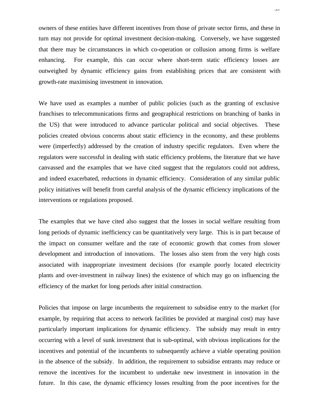owners of these entities have different incentives from those of private sector firms, and these in turn may not provide for optimal investment decision-making. Conversely, we have suggested that there may be circumstances in which co-operation or collusion among firms is welfare enhancing. For example, this can occur where short-term static efficiency losses are outweighed by dynamic efficiency gains from establishing prices that are consistent with growth-rate maximising investment in innovation.

We have used as examples a number of public policies (such as the granting of exclusive franchises to telecommunications firms and geographical restrictions on branching of banks in the US) that were introduced to advance particular political and social objectives. These policies created obvious concerns about static efficiency in the economy, and these problems were (imperfectly) addressed by the creation of industry specific regulators. Even where the regulators were successful in dealing with static efficiency problems, the literature that we have canvassed and the examples that we have cited suggest that the regulators could not address, and indeed exacerbated, reductions in dynamic efficiency. Consideration of any similar public policy initiatives will benefit from careful analysis of the dynamic efficiency implications of the interventions or regulations proposed.

The examples that we have cited also suggest that the losses in social welfare resulting from long periods of dynamic inefficiency can be quantitatively very large. This is in part because of the impact on consumer welfare and the rate of economic growth that comes from slower development and introduction of innovations. The losses also stem from the very high costs associated with inappropriate investment decisions (for example poorly located electricity plants and over-investment in railway lines) the existence of which may go on influencing the efficiency of the market for long periods after initial construction.

Policies that impose on large incumbents the requirement to subsidise entry to the market (for example, by requiring that access to network facilities be provided at marginal cost) may have particularly important implications for dynamic efficiency. The subsidy may result in entry occurring with a level of sunk investment that is sub-optimal, with obvious implications for the incentives and potential of the incumbents to subsequently achieve a viable operating position in the absence of the subsidy. In addition, the requirement to subsidise entrants may reduce or remove the incentives for the incumbent to undertake new investment in innovation in the future. In this case, the dynamic efficiency losses resulting from the poor incentives for the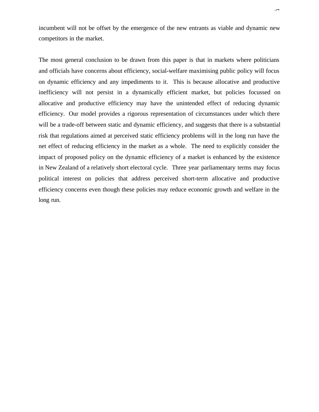incumbent will not be offset by the emergence of the new entrants as viable and dynamic new competitors in the market.

The most general conclusion to be drawn from this paper is that in markets where politicians and officials have concerns about efficiency, social-welfare maximising public policy will focus on dynamic efficiency and any impediments to it. This is because allocative and productive inefficiency will not persist in a dynamically efficient market, but policies focussed on allocative and productive efficiency may have the unintended effect of reducing dynamic efficiency. Our model provides a rigorous representation of circumstances under which there will be a trade-off between static and dynamic efficiency, and suggests that there is a substantial risk that regulations aimed at perceived static efficiency problems will in the long run have the net effect of reducing efficiency in the market as a whole. The need to explicitly consider the impact of proposed policy on the dynamic efficiency of a market is enhanced by the existence in New Zealand of a relatively short electoral cycle. Three year parliamentary terms may focus political interest on policies that address perceived short-term allocative and productive efficiency concerns even though these policies may reduce economic growth and welfare in the long run.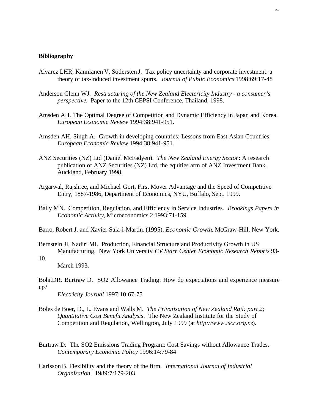#### **Bibliography**

- Alvarez LHR, Kannianen V, Södersten J. Tax policy uncertainty and corporate investment: a theory of tax-induced investment spurts. *Journal of Public Economics* 1998:69:17-48
- Anderson Glenn WJ. *Restructuring of the New Zealand Electcricity Industry a consumer's perspective*. Paper to the 12th CEPSI Conference, Thailand, 1998.
- Amsden AH. The Optimal Degree of Competition and Dynamic Efficiency in Japan and Korea. *European Economic Review* 1994:38:941-951.
- Amsden AH, Singh A. Growth in developing countries: Lessons from East Asian Countries. *European Economic Review* 1994:38:941-951.
- ANZ Securities (NZ) Ltd (Daniel McFadyen). *The New Zealand Energy Sector*: A research publication of ANZ Securities (NZ) Ltd, the equities arm of ANZ Investment Bank. Auckland, February 1998.
- Argarwal, Rajshree, and Michael Gort, First Mover Advantage and the Speed of Competitive Entry, 1887-1986, Department of Economics, NYU, Buffalo, Sept. 1999.
- Baily MN. Competition, Regulation, and Efficiency in Service Industries*. Brookings Papers in Economic Activity*, Microeconomics 2 1993:71-159.
- Barro, Robert J. and Xavier Sala-i-Martin. (1995). *Economic Growth*. McGraw-Hill, New York.
- Bernstein JI, Nadiri MI. Production, Financial Structure and Productivity Growth in US Manufacturing. New York University *CV Starr Center Economic Research Reports* 93-
- 10.

March 1993.

Bohi.DR, Burtraw D. SO2 Allowance Trading: How do expectations and experience measure up?

*Electricity Journal* 1997:10:67-75

- Boles de Boer, D., L. Evans and Walls M. *The Privatisation of New Zealand Rail: part 2; Quantitative Cost Benefit Analysis*. The New Zealand Institute for the Study of Competition and Regulation, Wellington, July 1999 (at *http://www.iscr.org.nz*).
- Burtraw D. The SO2 Emissions Trading Program: Cost Savings without Allowance Trades. *Contemporary Economic Policy* 1996:14:79-84
- Carlsson B. Flexibility and the theory of the firm. *International Journal of Industrial Organisation*. 1989:7:179-203.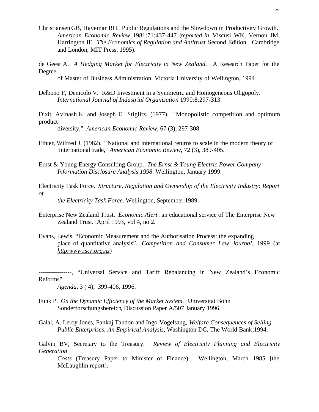- Christiansen GB, Haveman RH. Public Regulations and the Slowdown in Productivity Growth. *American Economic Review* 1981:71:437-447 (*reported in* Viscusi WK, Vernon JM, Harrington JE. *The Economics of Regulation and Antitrust* Second Edition. Cambridge and London, MIT Press, 1995).
- de Geest A. *A Hedging Market for Electricity in New Zealand.* A Research Paper for the Degree

of Master of Business Administration, Victoria University of Wellington, 1994

Delbono F, Denicolo V. R&D Investment in a Symmetric and Homogeneous Oligopoly. *International Journal of Industrial Organisation* 1990:8:297-313.

Dixit, Avinash K. and Joseph E. Stiglitz. (1977). "Monopolistic competition and optimum product

diversity," *American Economic Review*, 67 (3), 297-308.

- Ethier, Wilfred J. (1982). ``National and international returns to scale in the modern theory of international trade," *American Economic Review*, 72 (3), 389-405.
- Ernst & Young Energy Consulting Group. *The Ernst & Young Electric Power Company Information Disclosure Analysis 1998*. Wellington, January 1999.
- Electricity Task Force. *Structure, Regulation and Ownership of the Electricity Industry: Report of the Electricity Task Force*. Wellington, September 1989
- Enterprise New Zealand Trust. *Economic Alert*: an educational service of The Enterprise New Zealand Trust. April 1993, vol 4, no 2.
- Evans, Lewis, "Economic Measurement and the Authorisation Process: the expanding place of quantitative analysis", *Competition and Consumer Law Journal*, 1999 (at *http:www.iscr.org.nz*)

-----, "Universal Service and Tariff Rebalancing in New Zealand's Economic Reforms",

*Agenda*, 3 ( 4), 399-406, 1996.

- Funk P. *On the Dynamic Efficiency of the Market System*. Universitat Bonn Sonderforschungsbereich, Discussion Paper A/507 January 1996.
- Galal, A. Leroy Jones, Pankaj Tandon and Ingo Vogelsang, *Welfare Consequences of Selling Public Enterprises: An Empirical Analysis,* Washington DC, The World Bank,1994.

Galvin BV, Secretary to the Treasury. *Review of Electricity Planning and Electricity Generation*

*Costs* (Treasury Paper to Minister of Finance). Wellington, March 1985 [the McLaughlin report].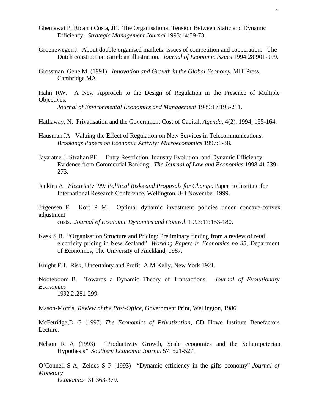- Ghemawat P, Ricart i Costa, JE. The Organisational Tension Between Static and Dynamic Efficiency. *Strategic Management Journal* 1993:14:59-73.
- Groenewegen J. About double organised markets: issues of competition and cooperation. The Dutch construction cartel: an illustration. *Journal of Economic Issues* 1994:28:901-999.
- Grossman, Gene M. (1991). *Innovation and Growth in the Global Economy*. MIT Press, Cambridge MA.
- Hahn RW. A New Approach to the Design of Regulation in the Presence of Multiple Objectives.

*Journal of Environmental Economics and Management* 1989:17:195-211.

- Hathaway, N. Privatisation and the Government Cost of Capital, *Agenda*, 4(2), 1994, 155-164.
- Hausman JA. Valuing the Effect of Regulation on New Services in Telecommunications. *Brookings Papers on Economic Activity: Microeconomics* 1997:1-38.
- Jayaratne J, Strahan PE. Entry Restriction, Industry Evolution, and Dynamic Efficiency: Evidence from Commercial Banking. *The Journal of Law and Economics* 1998:41:239- 273.
- Jenkins A. *Electricity '99: Political Risks and Proposals for Change*. Paper to Institute for International Research Conference, Wellington, 3-4 November 1999.

Jfrgensen F, Kort P M. Optimal dynamic investment policies under concave-convex adjustment

costs. *Journal of Economic Dynamics and Control*. 1993:17:153-180.

Kask S B. "Organisation Structure and Pricing: Preliminary finding from a review of retail electricity pricing in New Zealand" *Working Papers in Economics no 35*, Department of Economics, The University of Auckland, 1987.

Knight FH. Risk, Uncertainty and Profit. A M Kelly, New York 1921.

Nooteboom B. Towards a Dynamic Theory of Transactions. *Journal of Evolutionary Economics* 1992:2;281-299.

Mason-Morris, *Review of the Post-Office*, Government Print, Wellington, 1986.

McFetridge,D G (1997) *The Economics of Privatization,* CD Howe Institute Benefactors Lecture.

Nelson R A (1993) "Productivity Growth, Scale economies and the Schumpeterian Hypothesis" *Southern Economic Journal* 57: 521-527.

O'Connell S A, Zeldes S P (1993) "Dynamic efficiency in the gifts economy" *Journal of Monetary*

*Economics* 31:363-379.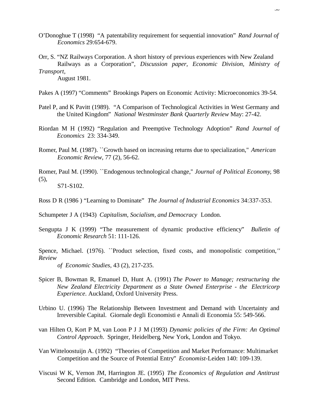- O'Donoghue T (1998) "A patentability requirement for sequential innovation" *Rand Journal of Economics* 29:654-679.
- Orr, S. "NZ Railways Corporation. A short history of previous experiences with New Zealand Railways as a Corporation", *Discussion paper, Economic Division, Ministry of Transport,*

August 1981.

- Pakes A (1997) "Comments" Brookings Papers on Economic Activity: Microeconomics 39-54.
- Patel P, and K Pavitt (1989). "A Comparison of Technological Activities in West Germany and the United Kingdom" *National Westminster Bank Quarterly Review* May: 27-42.
- Riordan M H (1992) "Regulation and Preemptive Technology Adoption" *Rand Journal of Economics* 23: 334-349.
- Romer, Paul M. (1987). ``Growth based on increasing returns due to specialization," *American Economic Review*, 77 (2), 56-62.
- Romer, Paul M. (1990). ``Endogenous technological change,'' *Journal of Political Economy*, 98  $(5)$ , S71-S102.
- Ross D R (1986 ) "Learning to Dominate" *The Journal of Industrial Economics* 34:337-353.
- Schumpeter J A (1943) *Capitalism, Socialism, and Democracy* London.
- Sengupta J K (1999) "The measurement of dynamic productive efficiency" *Bulletin of Economic Research* 51: 111-126.
- Spence, Michael. (1976). ``Product selection, fixed costs, and monopolistic competition,*'' Review*
	- *of Economic Studies*, 43 (2), 217-235.
- Spicer B, Bowman R, Emanuel D, Hunt A. (1991) *The Power to Manage; restructuring the New Zealand Electricity Department as a State Owned Enterprise - the Electricorp Experience*. Auckland, Oxford University Press.
- Urbino U. (1996) The Relationship Between Investment and Demand with Uncertainty and Irreversible Capital. Giornale degli Economisti e Annali di Economia 55: 549-566.
- van Hilten O, Kort P M, van Loon P J J M (1993) *Dynamic policies of the Firm: An Optimal Control Approach*. Springer, Heidelberg, New York, London and Tokyo.
- Van Witteloostuijn A. (1992) "Theories of Competition and Market Performance: Multimarket Competition and the Source of Potential Entry" *Economist-*Leiden 140: 109-139.
- Viscusi W K, Vernon JM, Harrington JE. (1995) *The Economics of Regulation and Antitrust* Second Edition. Cambridge and London, MIT Press.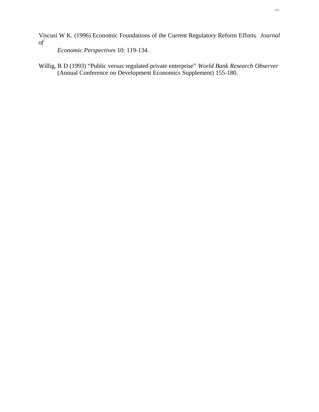Viscusi W K. (1996) Economic Foundations of the Current Regulatory Reform Efforts*. Journal of*

*Economic Perspectives* 10: 119-134.

Willig, R D (1993) "Public versus regulated private enterprise" *World Bank Research Observer* (Annual Conference on Development Economics Supplement) 155-180.